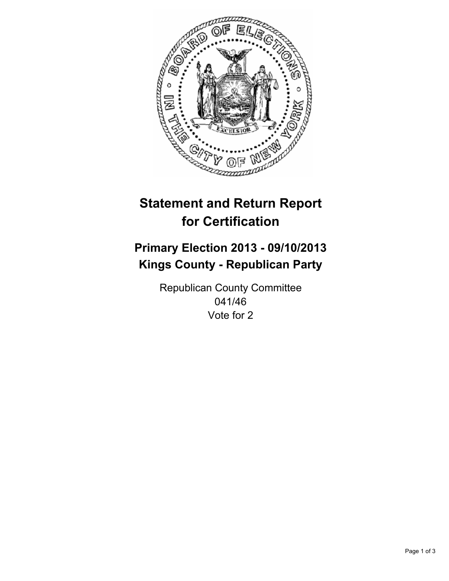

# **Statement and Return Report for Certification**

## **Primary Election 2013 - 09/10/2013 Kings County - Republican Party**

Republican County Committee 041/46 Vote for 2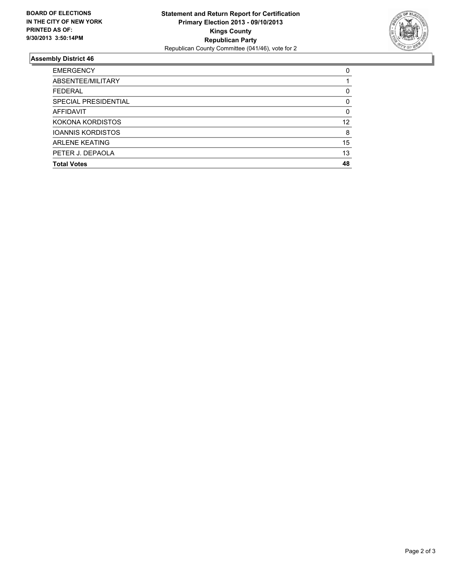

### **Assembly District 46**

| <b>EMERGENCY</b>         | 0        |
|--------------------------|----------|
| ABSENTEE/MILITARY        |          |
| <b>FEDERAL</b>           | 0        |
| SPECIAL PRESIDENTIAL     | 0        |
| <b>AFFIDAVIT</b>         | $\Omega$ |
| KOKONA KORDISTOS         | 12       |
| <b>IOANNIS KORDISTOS</b> | 8        |
| <b>ARLENE KEATING</b>    | 15       |
| PETER J. DEPAOLA         | 13       |
| <b>Total Votes</b>       | 48       |